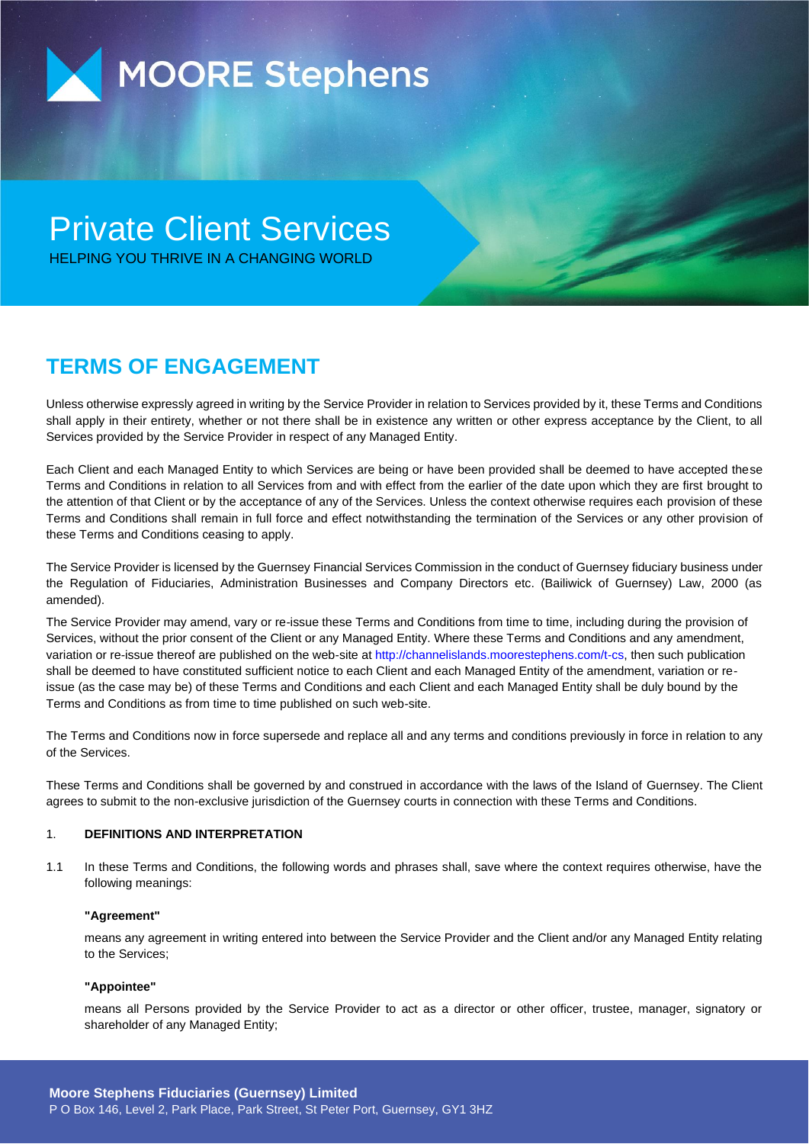

# Private Client Services

HELPING YOU THRIVE IN A CHANGING WORLD

## **TERMS OF ENGAGEMENT**

Unless otherwise expressly agreed in writing by the Service Provider in relation to Services provided by it, these Terms and Conditions shall apply in their entirety, whether or not there shall be in existence any written or other express acceptance by the Client, to all Services provided by the Service Provider in respect of any Managed Entity.

Each Client and each Managed Entity to which Services are being or have been provided shall be deemed to have accepted these Terms and Conditions in relation to all Services from and with effect from the earlier of the date upon which they are first brought to the attention of that Client or by the acceptance of any of the Services. Unless the context otherwise requires each provision of these Terms and Conditions shall remain in full force and effect notwithstanding the termination of the Services or any other provision of these Terms and Conditions ceasing to apply.

The Service Provider is licensed by the Guernsey Financial Services Commission in the conduct of Guernsey fiduciary business under the Regulation of Fiduciaries, Administration Businesses and Company Directors etc. (Bailiwick of Guernsey) Law, 2000 (as amended).

The Service Provider may amend, vary or re-issue these Terms and Conditions from time to time, including during the provision of Services, without the prior consent of the Client or any Managed Entity. Where these Terms and Conditions and any amendment, variation or re-issue thereof are published on the web-site at http://channelislands.moorestephens.com/t-cs, then such publication shall be deemed to have constituted sufficient notice to each Client and each Managed Entity of the amendment, variation or reissue (as the case may be) of these Terms and Conditions and each Client and each Managed Entity shall be duly bound by the Terms and Conditions as from time to time published on such web-site.

The Terms and Conditions now in force supersede and replace all and any terms and conditions previously in force in relation to any of the Services.

These Terms and Conditions shall be governed by and construed in accordance with the laws of the Island of Guernsey. The Client agrees to submit to the non-exclusive jurisdiction of the Guernsey courts in connection with these Terms and Conditions.

## 1. **DEFINITIONS AND INTERPRETATION**

1.1 In these Terms and Conditions, the following words and phrases shall, save where the context requires otherwise, have the following meanings:

## **"Agreement"**

means any agreement in writing entered into between the Service Provider and the Client and/or any Managed Entity relating to the Services;

#### **"Appointee"**

means all Persons provided by the Service Provider to act as a director or other officer, trustee, manager, signatory or shareholder of any Managed Entity;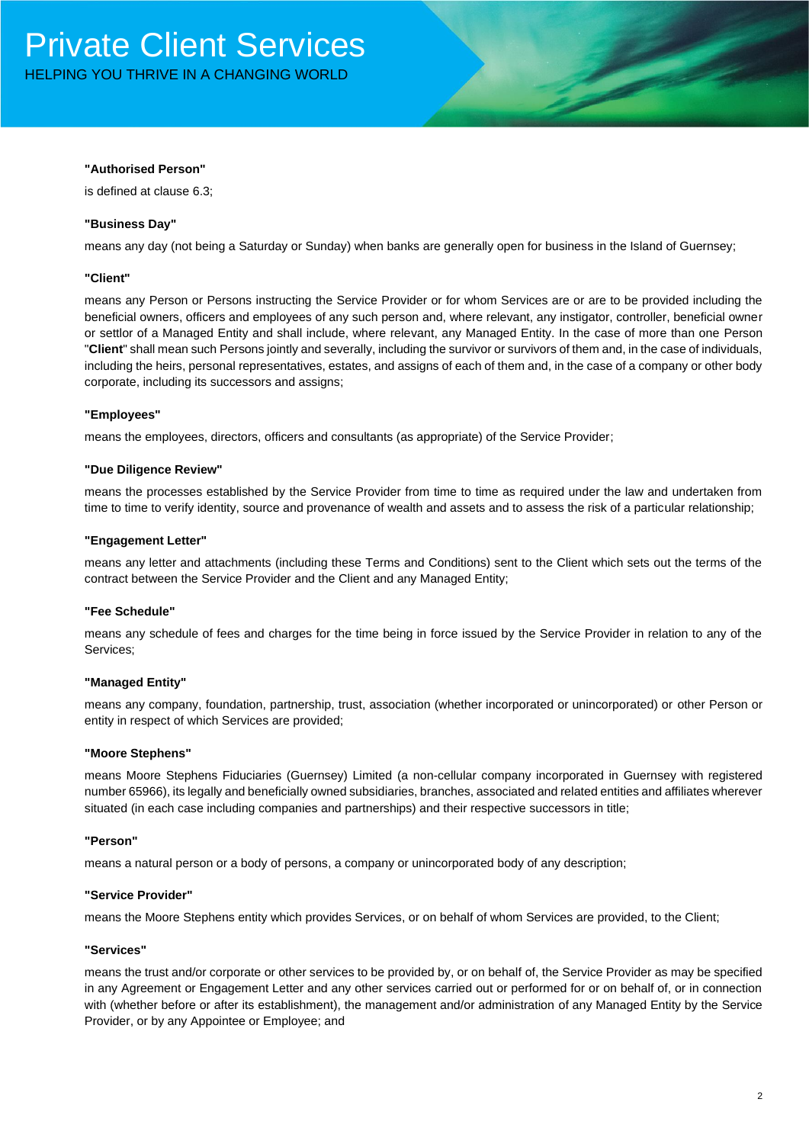#### **"Authorised Person"**

is defined at clause 6.3;

#### **"Business Day"**

means any day (not being a Saturday or Sunday) when banks are generally open for business in the Island of Guernsey;

#### **"Client"**

means any Person or Persons instructing the Service Provider or for whom Services are or are to be provided including the beneficial owners, officers and employees of any such person and, where relevant, any instigator, controller, beneficial owner or settlor of a Managed Entity and shall include, where relevant, any Managed Entity. In the case of more than one Person "**Client**" shall mean such Persons jointly and severally, including the survivor or survivors of them and, in the case of individuals, including the heirs, personal representatives, estates, and assigns of each of them and, in the case of a company or other body corporate, including its successors and assigns;

#### **"Employees"**

means the employees, directors, officers and consultants (as appropriate) of the Service Provider;

#### **"Due Diligence Review"**

means the processes established by the Service Provider from time to time as required under the law and undertaken from time to time to verify identity, source and provenance of wealth and assets and to assess the risk of a particular relationship;

#### **"Engagement Letter"**

means any letter and attachments (including these Terms and Conditions) sent to the Client which sets out the terms of the contract between the Service Provider and the Client and any Managed Entity;

#### **"Fee Schedule"**

means any schedule of fees and charges for the time being in force issued by the Service Provider in relation to any of the Services;

#### **"Managed Entity"**

means any company, foundation, partnership, trust, association (whether incorporated or unincorporated) or other Person or entity in respect of which Services are provided;

#### **"Moore Stephens"**

means Moore Stephens Fiduciaries (Guernsey) Limited (a non-cellular company incorporated in Guernsey with registered number 65966), its legally and beneficially owned subsidiaries, branches, associated and related entities and affiliates wherever situated (in each case including companies and partnerships) and their respective successors in title;

#### **"Person"**

means a natural person or a body of persons, a company or unincorporated body of any description;

#### **"Service Provider"**

means the Moore Stephens entity which provides Services, or on behalf of whom Services are provided, to the Client;

#### **"Services"**

means the trust and/or corporate or other services to be provided by, or on behalf of, the Service Provider as may be specified in any Agreement or Engagement Letter and any other services carried out or performed for or on behalf of, or in connection with (whether before or after its establishment), the management and/or administration of any Managed Entity by the Service Provider, or by any Appointee or Employee; and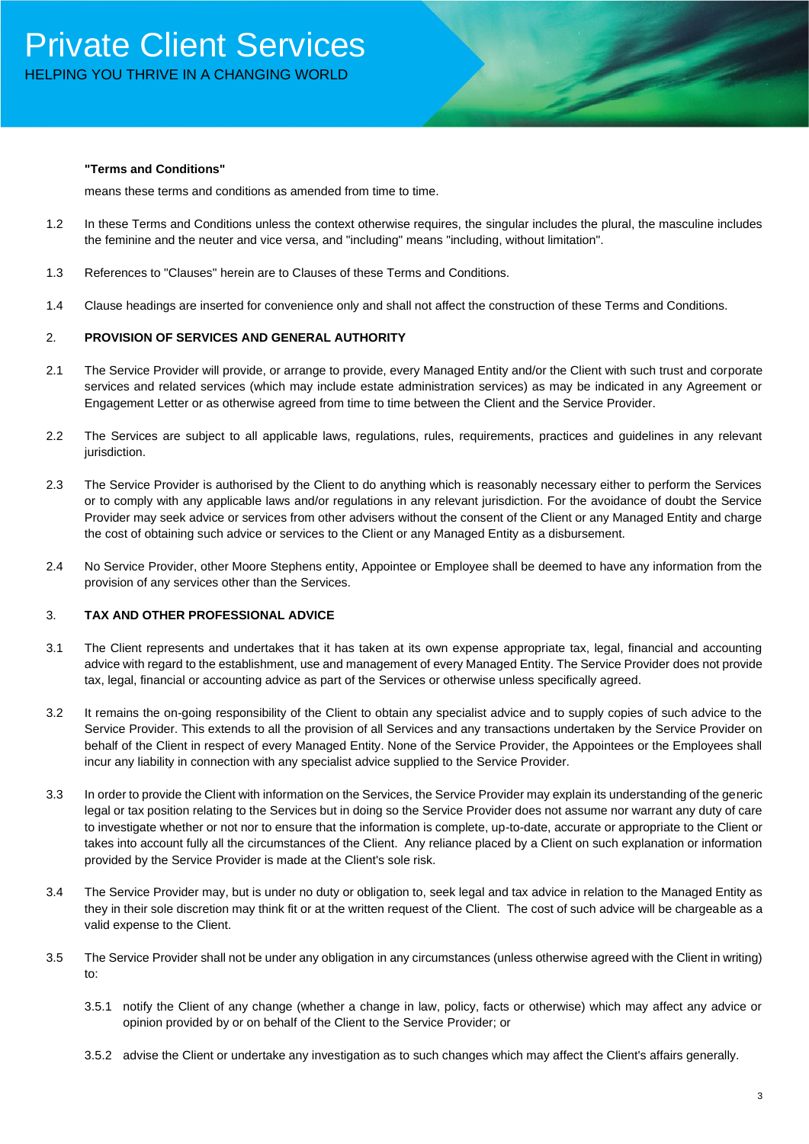

#### **"Terms and Conditions"**

means these terms and conditions as amended from time to time.

- 1.2 In these Terms and Conditions unless the context otherwise requires, the singular includes the plural, the masculine includes the feminine and the neuter and vice versa, and "including" means "including, without limitation".
- 1.3 References to "Clauses" herein are to Clauses of these Terms and Conditions.
- 1.4 Clause headings are inserted for convenience only and shall not affect the construction of these Terms and Conditions.

## 2. **PROVISION OF SERVICES AND GENERAL AUTHORITY**

- 2.1 The Service Provider will provide, or arrange to provide, every Managed Entity and/or the Client with such trust and corporate services and related services (which may include estate administration services) as may be indicated in any Agreement or Engagement Letter or as otherwise agreed from time to time between the Client and the Service Provider.
- 2.2 The Services are subject to all applicable laws, regulations, rules, requirements, practices and guidelines in any relevant jurisdiction.
- 2.3 The Service Provider is authorised by the Client to do anything which is reasonably necessary either to perform the Services or to comply with any applicable laws and/or regulations in any relevant jurisdiction. For the avoidance of doubt the Service Provider may seek advice or services from other advisers without the consent of the Client or any Managed Entity and charge the cost of obtaining such advice or services to the Client or any Managed Entity as a disbursement.
- 2.4 No Service Provider, other Moore Stephens entity, Appointee or Employee shall be deemed to have any information from the provision of any services other than the Services.

#### 3. **TAX AND OTHER PROFESSIONAL ADVICE**

- 3.1 The Client represents and undertakes that it has taken at its own expense appropriate tax, legal, financial and accounting advice with regard to the establishment, use and management of every Managed Entity. The Service Provider does not provide tax, legal, financial or accounting advice as part of the Services or otherwise unless specifically agreed.
- 3.2 It remains the on-going responsibility of the Client to obtain any specialist advice and to supply copies of such advice to the Service Provider. This extends to all the provision of all Services and any transactions undertaken by the Service Provider on behalf of the Client in respect of every Managed Entity. None of the Service Provider, the Appointees or the Employees shall incur any liability in connection with any specialist advice supplied to the Service Provider.
- 3.3 In order to provide the Client with information on the Services, the Service Provider may explain its understanding of the generic legal or tax position relating to the Services but in doing so the Service Provider does not assume nor warrant any duty of care to investigate whether or not nor to ensure that the information is complete, up-to-date, accurate or appropriate to the Client or takes into account fully all the circumstances of the Client. Any reliance placed by a Client on such explanation or information provided by the Service Provider is made at the Client's sole risk.
- 3.4 The Service Provider may, but is under no duty or obligation to, seek legal and tax advice in relation to the Managed Entity as they in their sole discretion may think fit or at the written request of the Client. The cost of such advice will be chargeable as a valid expense to the Client.
- 3.5 The Service Provider shall not be under any obligation in any circumstances (unless otherwise agreed with the Client in writing) to:
	- 3.5.1 notify the Client of any change (whether a change in law, policy, facts or otherwise) which may affect any advice or opinion provided by or on behalf of the Client to the Service Provider; or
	- 3.5.2 advise the Client or undertake any investigation as to such changes which may affect the Client's affairs generally.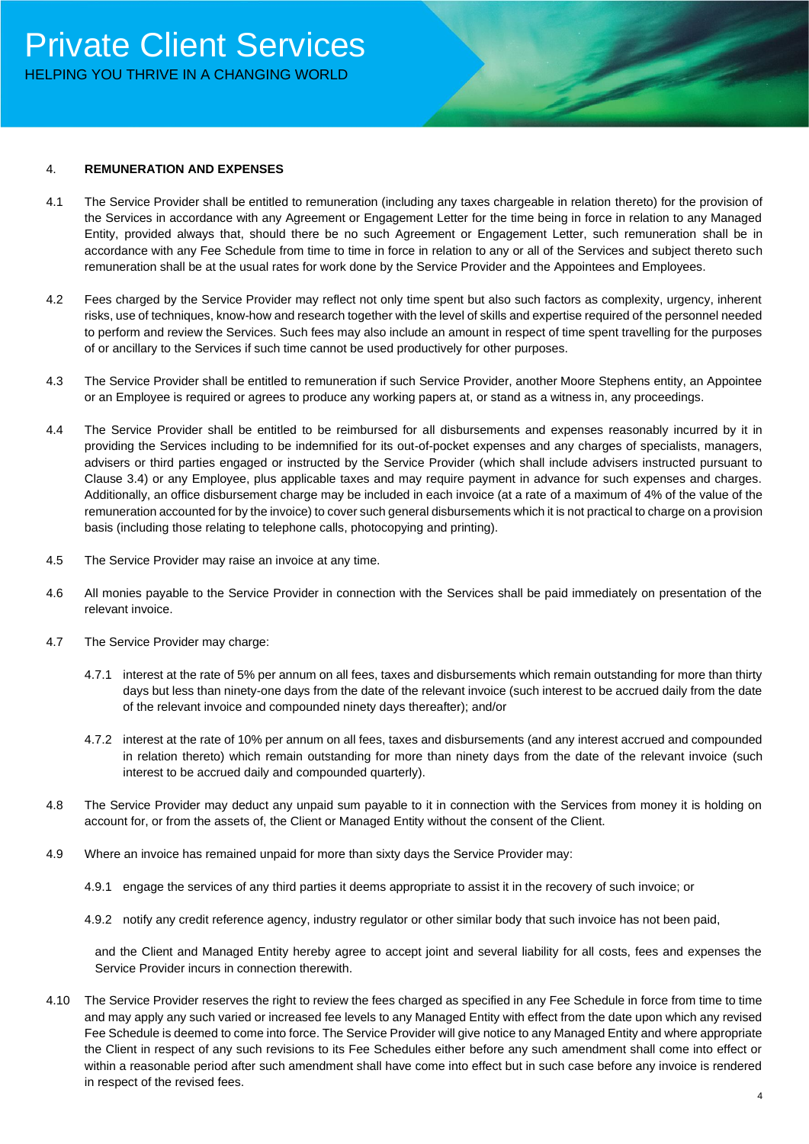#### 4. **REMUNERATION AND EXPENSES**

- 4.1 The Service Provider shall be entitled to remuneration (including any taxes chargeable in relation thereto) for the provision of the Services in accordance with any Agreement or Engagement Letter for the time being in force in relation to any Managed Entity, provided always that, should there be no such Agreement or Engagement Letter, such remuneration shall be in accordance with any Fee Schedule from time to time in force in relation to any or all of the Services and subject thereto such remuneration shall be at the usual rates for work done by the Service Provider and the Appointees and Employees.
- 4.2 Fees charged by the Service Provider may reflect not only time spent but also such factors as complexity, urgency, inherent risks, use of techniques, know-how and research together with the level of skills and expertise required of the personnel needed to perform and review the Services. Such fees may also include an amount in respect of time spent travelling for the purposes of or ancillary to the Services if such time cannot be used productively for other purposes.
- 4.3 The Service Provider shall be entitled to remuneration if such Service Provider, another Moore Stephens entity, an Appointee or an Employee is required or agrees to produce any working papers at, or stand as a witness in, any proceedings.
- 4.4 The Service Provider shall be entitled to be reimbursed for all disbursements and expenses reasonably incurred by it in providing the Services including to be indemnified for its out-of-pocket expenses and any charges of specialists, managers, advisers or third parties engaged or instructed by the Service Provider (which shall include advisers instructed pursuant to Clause 3.4) or any Employee, plus applicable taxes and may require payment in advance for such expenses and charges. Additionally, an office disbursement charge may be included in each invoice (at a rate of a maximum of 4% of the value of the remuneration accounted for by the invoice) to cover such general disbursements which it is not practical to charge on a provision basis (including those relating to telephone calls, photocopying and printing).
- 4.5 The Service Provider may raise an invoice at any time.
- 4.6 All monies payable to the Service Provider in connection with the Services shall be paid immediately on presentation of the relevant invoice.
- 4.7 The Service Provider may charge:
	- 4.7.1 interest at the rate of 5% per annum on all fees, taxes and disbursements which remain outstanding for more than thirty days but less than ninety-one days from the date of the relevant invoice (such interest to be accrued daily from the date of the relevant invoice and compounded ninety days thereafter); and/or
	- 4.7.2 interest at the rate of 10% per annum on all fees, taxes and disbursements (and any interest accrued and compounded in relation thereto) which remain outstanding for more than ninety days from the date of the relevant invoice (such interest to be accrued daily and compounded quarterly).
- 4.8 The Service Provider may deduct any unpaid sum payable to it in connection with the Services from money it is holding on account for, or from the assets of, the Client or Managed Entity without the consent of the Client.
- 4.9 Where an invoice has remained unpaid for more than sixty days the Service Provider may:
	- 4.9.1 engage the services of any third parties it deems appropriate to assist it in the recovery of such invoice; or
	- 4.9.2 notify any credit reference agency, industry regulator or other similar body that such invoice has not been paid,

and the Client and Managed Entity hereby agree to accept joint and several liability for all costs, fees and expenses the Service Provider incurs in connection therewith.

4.10 The Service Provider reserves the right to review the fees charged as specified in any Fee Schedule in force from time to time and may apply any such varied or increased fee levels to any Managed Entity with effect from the date upon which any revised Fee Schedule is deemed to come into force. The Service Provider will give notice to any Managed Entity and where appropriate the Client in respect of any such revisions to its Fee Schedules either before any such amendment shall come into effect or within a reasonable period after such amendment shall have come into effect but in such case before any invoice is rendered in respect of the revised fees.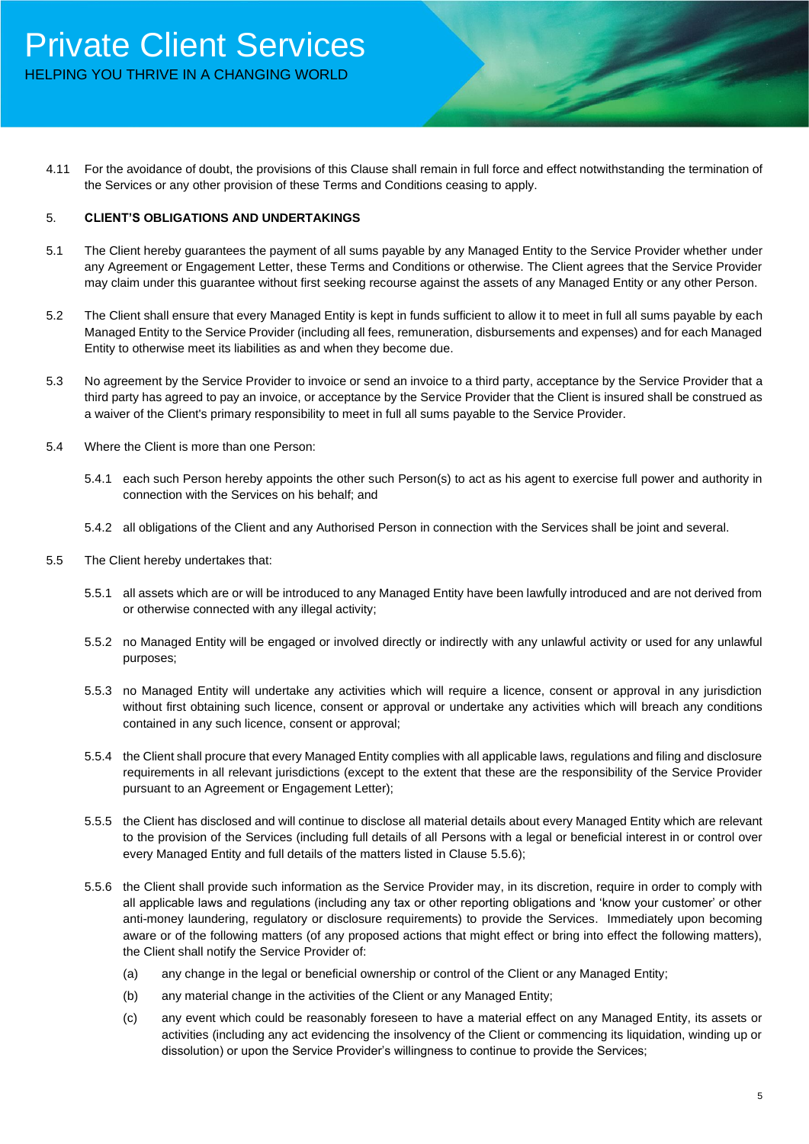4.11 For the avoidance of doubt, the provisions of this Clause shall remain in full force and effect notwithstanding the termination of the Services or any other provision of these Terms and Conditions ceasing to apply.

## 5. **CLIENT'S OBLIGATIONS AND UNDERTAKINGS**

- 5.1 The Client hereby guarantees the payment of all sums payable by any Managed Entity to the Service Provider whether under any Agreement or Engagement Letter, these Terms and Conditions or otherwise. The Client agrees that the Service Provider may claim under this guarantee without first seeking recourse against the assets of any Managed Entity or any other Person.
- 5.2 The Client shall ensure that every Managed Entity is kept in funds sufficient to allow it to meet in full all sums payable by each Managed Entity to the Service Provider (including all fees, remuneration, disbursements and expenses) and for each Managed Entity to otherwise meet its liabilities as and when they become due.
- 5.3 No agreement by the Service Provider to invoice or send an invoice to a third party, acceptance by the Service Provider that a third party has agreed to pay an invoice, or acceptance by the Service Provider that the Client is insured shall be construed as a waiver of the Client's primary responsibility to meet in full all sums payable to the Service Provider.
- 5.4 Where the Client is more than one Person:
	- 5.4.1 each such Person hereby appoints the other such Person(s) to act as his agent to exercise full power and authority in connection with the Services on his behalf; and
	- 5.4.2 all obligations of the Client and any Authorised Person in connection with the Services shall be joint and several.
- 5.5 The Client hereby undertakes that:
	- 5.5.1 all assets which are or will be introduced to any Managed Entity have been lawfully introduced and are not derived from or otherwise connected with any illegal activity;
	- 5.5.2 no Managed Entity will be engaged or involved directly or indirectly with any unlawful activity or used for any unlawful purposes;
	- 5.5.3 no Managed Entity will undertake any activities which will require a licence, consent or approval in any jurisdiction without first obtaining such licence, consent or approval or undertake any activities which will breach any conditions contained in any such licence, consent or approval;
	- 5.5.4 the Client shall procure that every Managed Entity complies with all applicable laws, regulations and filing and disclosure requirements in all relevant jurisdictions (except to the extent that these are the responsibility of the Service Provider pursuant to an Agreement or Engagement Letter);
	- 5.5.5 the Client has disclosed and will continue to disclose all material details about every Managed Entity which are relevant to the provision of the Services (including full details of all Persons with a legal or beneficial interest in or control over every Managed Entity and full details of the matters listed in Clause 5.5.6);
	- 5.5.6 the Client shall provide such information as the Service Provider may, in its discretion, require in order to comply with all applicable laws and regulations (including any tax or other reporting obligations and 'know your customer' or other anti-money laundering, regulatory or disclosure requirements) to provide the Services. Immediately upon becoming aware or of the following matters (of any proposed actions that might effect or bring into effect the following matters), the Client shall notify the Service Provider of:
		- (a) any change in the legal or beneficial ownership or control of the Client or any Managed Entity;
		- (b) any material change in the activities of the Client or any Managed Entity;
		- (c) any event which could be reasonably foreseen to have a material effect on any Managed Entity, its assets or activities (including any act evidencing the insolvency of the Client or commencing its liquidation, winding up or dissolution) or upon the Service Provider's willingness to continue to provide the Services;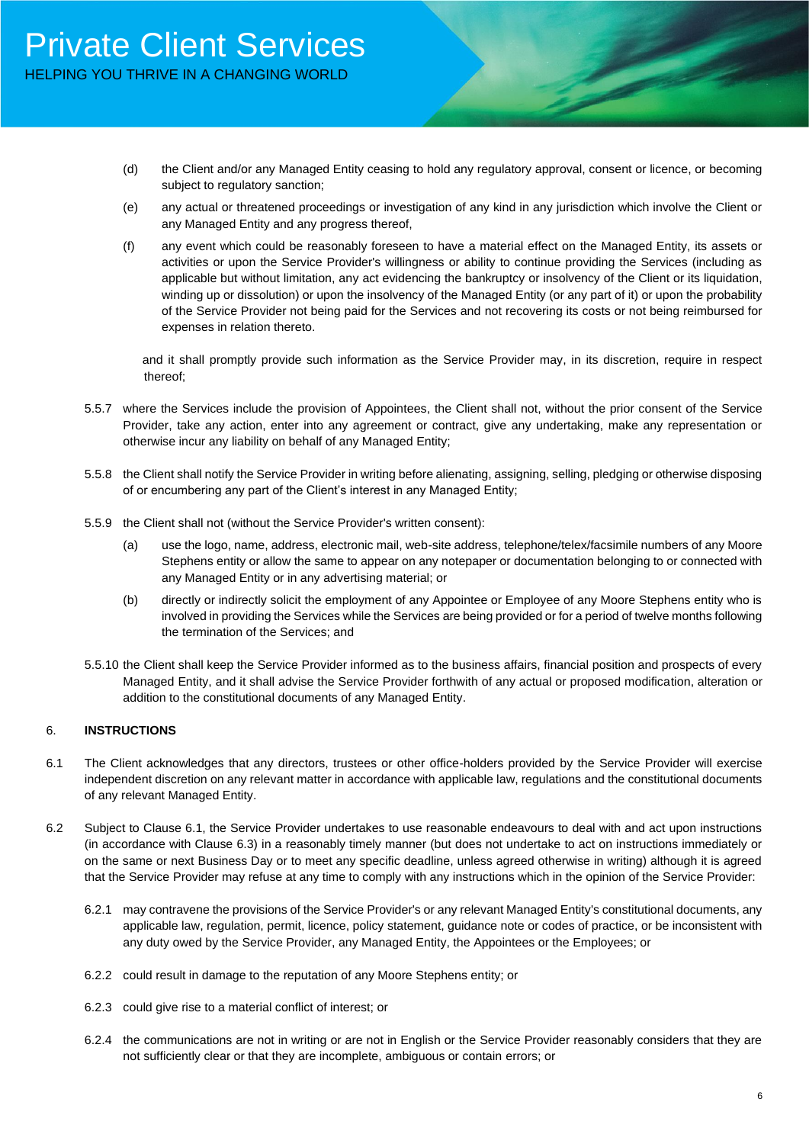- (d) the Client and/or any Managed Entity ceasing to hold any regulatory approval, consent or licence, or becoming subject to regulatory sanction;
- (e) any actual or threatened proceedings or investigation of any kind in any jurisdiction which involve the Client or any Managed Entity and any progress thereof,
- (f) any event which could be reasonably foreseen to have a material effect on the Managed Entity, its assets or activities or upon the Service Provider's willingness or ability to continue providing the Services (including as applicable but without limitation, any act evidencing the bankruptcy or insolvency of the Client or its liquidation, winding up or dissolution) or upon the insolvency of the Managed Entity (or any part of it) or upon the probability of the Service Provider not being paid for the Services and not recovering its costs or not being reimbursed for expenses in relation thereto.

and it shall promptly provide such information as the Service Provider may, in its discretion, require in respect thereof;

- 5.5.7 where the Services include the provision of Appointees, the Client shall not, without the prior consent of the Service Provider, take any action, enter into any agreement or contract, give any undertaking, make any representation or otherwise incur any liability on behalf of any Managed Entity;
- 5.5.8 the Client shall notify the Service Provider in writing before alienating, assigning, selling, pledging or otherwise disposing of or encumbering any part of the Client's interest in any Managed Entity;
- 5.5.9 the Client shall not (without the Service Provider's written consent):
	- (a) use the logo, name, address, electronic mail, web-site address, telephone/telex/facsimile numbers of any Moore Stephens entity or allow the same to appear on any notepaper or documentation belonging to or connected with any Managed Entity or in any advertising material; or
	- (b) directly or indirectly solicit the employment of any Appointee or Employee of any Moore Stephens entity who is involved in providing the Services while the Services are being provided or for a period of twelve months following the termination of the Services; and
- 5.5.10 the Client shall keep the Service Provider informed as to the business affairs, financial position and prospects of every Managed Entity, and it shall advise the Service Provider forthwith of any actual or proposed modification, alteration or addition to the constitutional documents of any Managed Entity.

## 6. **INSTRUCTIONS**

- 6.1 The Client acknowledges that any directors, trustees or other office-holders provided by the Service Provider will exercise independent discretion on any relevant matter in accordance with applicable law, regulations and the constitutional documents of any relevant Managed Entity.
- 6.2 Subject to Clause 6.1, the Service Provider undertakes to use reasonable endeavours to deal with and act upon instructions (in accordance with Clause 6.3) in a reasonably timely manner (but does not undertake to act on instructions immediately or on the same or next Business Day or to meet any specific deadline, unless agreed otherwise in writing) although it is agreed that the Service Provider may refuse at any time to comply with any instructions which in the opinion of the Service Provider:
	- 6.2.1 may contravene the provisions of the Service Provider's or any relevant Managed Entity's constitutional documents, any applicable law, regulation, permit, licence, policy statement, guidance note or codes of practice, or be inconsistent with any duty owed by the Service Provider, any Managed Entity, the Appointees or the Employees; or
	- 6.2.2 could result in damage to the reputation of any Moore Stephens entity; or
	- 6.2.3 could give rise to a material conflict of interest; or
	- 6.2.4 the communications are not in writing or are not in English or the Service Provider reasonably considers that they are not sufficiently clear or that they are incomplete, ambiguous or contain errors; or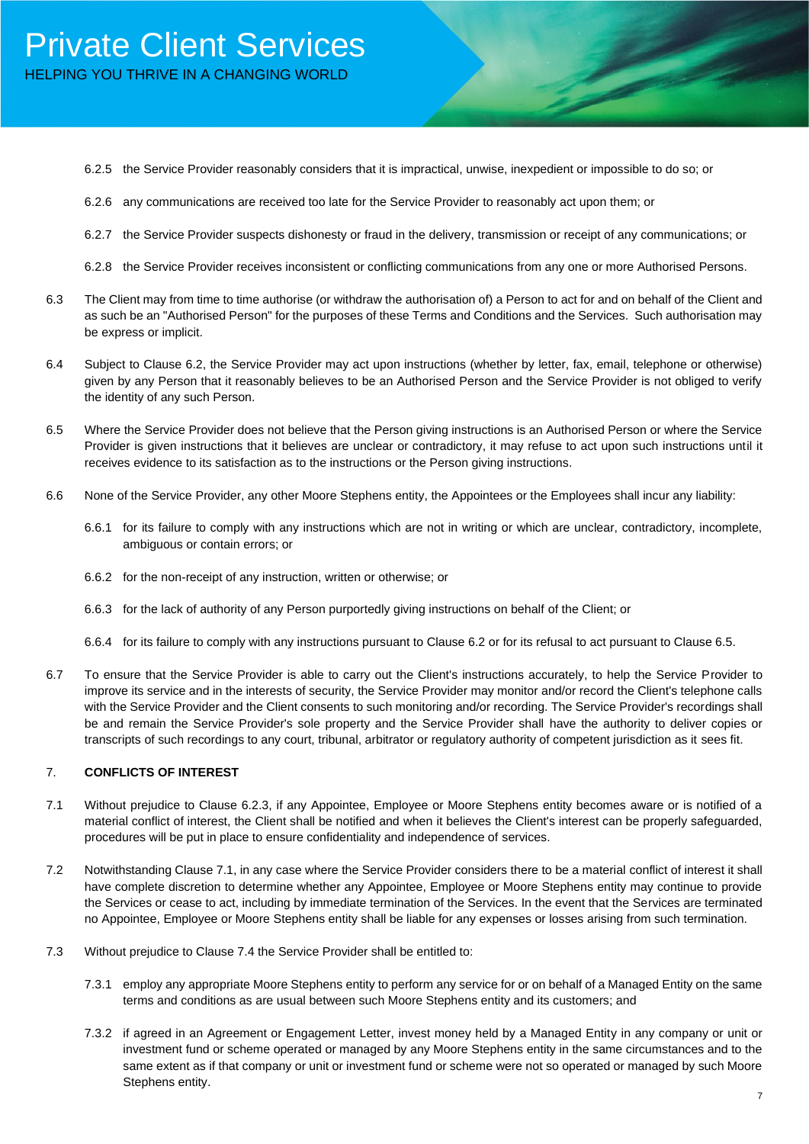- 6.2.5 the Service Provider reasonably considers that it is impractical, unwise, inexpedient or impossible to do so; or
- 6.2.6 any communications are received too late for the Service Provider to reasonably act upon them; or
- 6.2.7 the Service Provider suspects dishonesty or fraud in the delivery, transmission or receipt of any communications; or
- 6.2.8 the Service Provider receives inconsistent or conflicting communications from any one or more Authorised Persons.
- 6.3 The Client may from time to time authorise (or withdraw the authorisation of) a Person to act for and on behalf of the Client and as such be an "Authorised Person" for the purposes of these Terms and Conditions and the Services. Such authorisation may be express or implicit.
- 6.4 Subject to Clause 6.2, the Service Provider may act upon instructions (whether by letter, fax, email, telephone or otherwise) given by any Person that it reasonably believes to be an Authorised Person and the Service Provider is not obliged to verify the identity of any such Person.
- 6.5 Where the Service Provider does not believe that the Person giving instructions is an Authorised Person or where the Service Provider is given instructions that it believes are unclear or contradictory, it may refuse to act upon such instructions until it receives evidence to its satisfaction as to the instructions or the Person giving instructions.
- 6.6 None of the Service Provider, any other Moore Stephens entity, the Appointees or the Employees shall incur any liability:
	- 6.6.1 for its failure to comply with any instructions which are not in writing or which are unclear, contradictory, incomplete, ambiguous or contain errors; or
	- 6.6.2 for the non-receipt of any instruction, written or otherwise; or
	- 6.6.3 for the lack of authority of any Person purportedly giving instructions on behalf of the Client; or
	- 6.6.4 for its failure to comply with any instructions pursuant to Clause 6.2 or for its refusal to act pursuant to Clause 6.5.
- 6.7 To ensure that the Service Provider is able to carry out the Client's instructions accurately, to help the Service Provider to improve its service and in the interests of security, the Service Provider may monitor and/or record the Client's telephone calls with the Service Provider and the Client consents to such monitoring and/or recording. The Service Provider's recordings shall be and remain the Service Provider's sole property and the Service Provider shall have the authority to deliver copies or transcripts of such recordings to any court, tribunal, arbitrator or regulatory authority of competent jurisdiction as it sees fit.

## 7. **CONFLICTS OF INTEREST**

- 7.1 Without prejudice to Clause 6.2.3, if any Appointee, Employee or Moore Stephens entity becomes aware or is notified of a material conflict of interest, the Client shall be notified and when it believes the Client's interest can be properly safeguarded, procedures will be put in place to ensure confidentiality and independence of services.
- 7.2 Notwithstanding Clause 7.1, in any case where the Service Provider considers there to be a material conflict of interest it shall have complete discretion to determine whether any Appointee, Employee or Moore Stephens entity may continue to provide the Services or cease to act, including by immediate termination of the Services. In the event that the Services are terminated no Appointee, Employee or Moore Stephens entity shall be liable for any expenses or losses arising from such termination.
- 7.3 Without prejudice to Clause 7.4 the Service Provider shall be entitled to:
	- 7.3.1 employ any appropriate Moore Stephens entity to perform any service for or on behalf of a Managed Entity on the same terms and conditions as are usual between such Moore Stephens entity and its customers; and
	- 7.3.2 if agreed in an Agreement or Engagement Letter, invest money held by a Managed Entity in any company or unit or investment fund or scheme operated or managed by any Moore Stephens entity in the same circumstances and to the same extent as if that company or unit or investment fund or scheme were not so operated or managed by such Moore Stephens entity.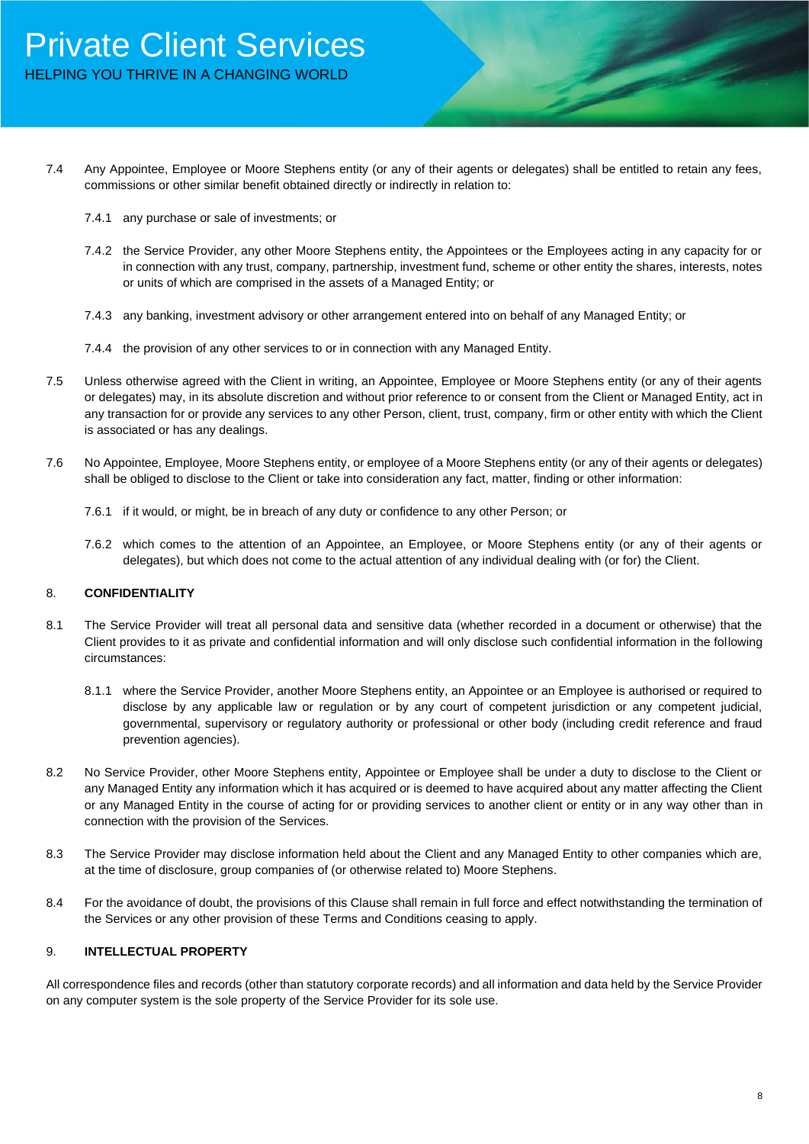- 7.4 Any Appointee, Employee or Moore Stephens entity (or any of their agents or delegates) shall be entitled to retain any fees, commissions or other similar benefit obtained directly or indirectly in relation to:
	- 7.4.1 any purchase or sale of investments; or
	- 7.4.2 the Service Provider, any other Moore Stephens entity, the Appointees or the Employees acting in any capacity for or in connection with any trust, company, partnership, investment fund, scheme or other entity the shares, interests, notes or units of which are comprised in the assets of a Managed Entity; or
	- 7.4.3 any banking, investment advisory or other arrangement entered into on behalf of any Managed Entity; or
	- 7.4.4 the provision of any other services to or in connection with any Managed Entity.
- 7.5 Unless otherwise agreed with the Client in writing, an Appointee, Employee or Moore Stephens entity (or any of their agents or delegates) may, in its absolute discretion and without prior reference to or consent from the Client or Managed Entity, act in any transaction for or provide any services to any other Person, client, trust, company, firm or other entity with which the Client is associated or has any dealings.
- 7.6 No Appointee, Employee, Moore Stephens entity, or employee of a Moore Stephens entity (or any of their agents or delegates) shall be obliged to disclose to the Client or take into consideration any fact, matter, finding or other information:
	- 7.6.1 if it would, or might, be in breach of any duty or confidence to any other Person; or
	- 7.6.2 which comes to the attention of an Appointee, an Employee, or Moore Stephens entity (or any of their agents or delegates), but which does not come to the actual attention of any individual dealing with (or for) the Client.

## 8. **CONFIDENTIALITY**

- 8.1 The Service Provider will treat all personal data and sensitive data (whether recorded in a document or otherwise) that the Client provides to it as private and confidential information and will only disclose such confidential information in the following circumstances:
	- 8.1.1 where the Service Provider, another Moore Stephens entity, an Appointee or an Employee is authorised or required to disclose by any applicable law or regulation or by any court of competent jurisdiction or any competent judicial, governmental, supervisory or regulatory authority or professional or other body (including credit reference and fraud prevention agencies).
- 8.2 No Service Provider, other Moore Stephens entity, Appointee or Employee shall be under a duty to disclose to the Client or any Managed Entity any information which it has acquired or is deemed to have acquired about any matter affecting the Client or any Managed Entity in the course of acting for or providing services to another client or entity or in any way other than in connection with the provision of the Services.
- 8.3 The Service Provider may disclose information held about the Client and any Managed Entity to other companies which are, at the time of disclosure, group companies of (or otherwise related to) Moore Stephens.
- 8.4 For the avoidance of doubt, the provisions of this Clause shall remain in full force and effect notwithstanding the termination of the Services or any other provision of these Terms and Conditions ceasing to apply.

## 9. **INTELLECTUAL PROPERTY**

All correspondence files and records (other than statutory corporate records) and all information and data held by the Service Provider on any computer system is the sole property of the Service Provider for its sole use.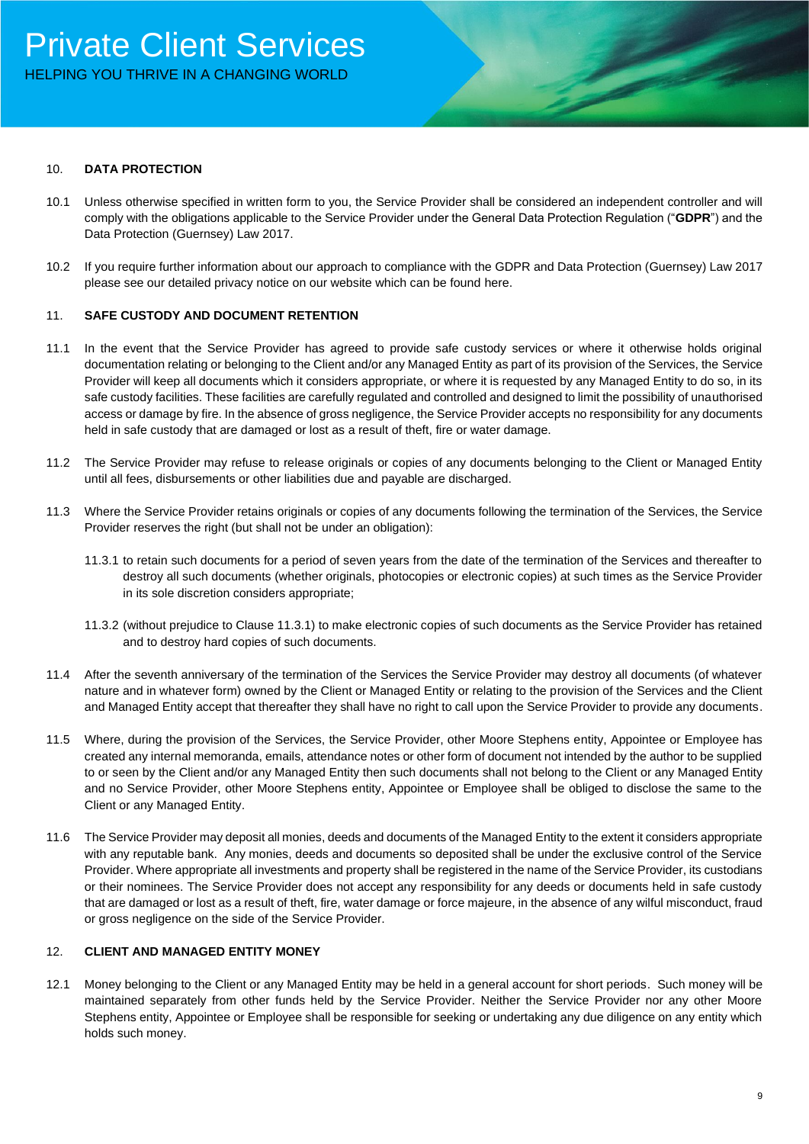## 10. **DATA PROTECTION**

- 10.1 Unless otherwise specified in written form to you, the Service Provider shall be considered an independent controller and will comply with the obligations applicable to the Service Provider under the General Data Protection Regulation ("**GDPR**") and the Data Protection (Guernsey) Law 2017.
- 10.2 If you require further information about our approach to compliance with the GDPR and Data Protection (Guernsey) Law 2017 please see our detailed privacy notice on our website which can be found here.

#### 11. **SAFE CUSTODY AND DOCUMENT RETENTION**

- 11.1 In the event that the Service Provider has agreed to provide safe custody services or where it otherwise holds original documentation relating or belonging to the Client and/or any Managed Entity as part of its provision of the Services, the Service Provider will keep all documents which it considers appropriate, or where it is requested by any Managed Entity to do so, in its safe custody facilities. These facilities are carefully regulated and controlled and designed to limit the possibility of unauthorised access or damage by fire. In the absence of gross negligence, the Service Provider accepts no responsibility for any documents held in safe custody that are damaged or lost as a result of theft, fire or water damage.
- 11.2 The Service Provider may refuse to release originals or copies of any documents belonging to the Client or Managed Entity until all fees, disbursements or other liabilities due and payable are discharged.
- 11.3 Where the Service Provider retains originals or copies of any documents following the termination of the Services, the Service Provider reserves the right (but shall not be under an obligation):
	- 11.3.1 to retain such documents for a period of seven years from the date of the termination of the Services and thereafter to destroy all such documents (whether originals, photocopies or electronic copies) at such times as the Service Provider in its sole discretion considers appropriate;
	- 11.3.2 (without prejudice to Clause 11.3.1) to make electronic copies of such documents as the Service Provider has retained and to destroy hard copies of such documents.
- 11.4 After the seventh anniversary of the termination of the Services the Service Provider may destroy all documents (of whatever nature and in whatever form) owned by the Client or Managed Entity or relating to the provision of the Services and the Client and Managed Entity accept that thereafter they shall have no right to call upon the Service Provider to provide any documents.
- 11.5 Where, during the provision of the Services, the Service Provider, other Moore Stephens entity, Appointee or Employee has created any internal memoranda, emails, attendance notes or other form of document not intended by the author to be supplied to or seen by the Client and/or any Managed Entity then such documents shall not belong to the Client or any Managed Entity and no Service Provider, other Moore Stephens entity, Appointee or Employee shall be obliged to disclose the same to the Client or any Managed Entity.
- 11.6 The Service Provider may deposit all monies, deeds and documents of the Managed Entity to the extent it considers appropriate with any reputable bank. Any monies, deeds and documents so deposited shall be under the exclusive control of the Service Provider. Where appropriate all investments and property shall be registered in the name of the Service Provider, its custodians or their nominees. The Service Provider does not accept any responsibility for any deeds or documents held in safe custody that are damaged or lost as a result of theft, fire, water damage or force majeure, in the absence of any wilful misconduct, fraud or gross negligence on the side of the Service Provider.

## 12. **CLIENT AND MANAGED ENTITY MONEY**

12.1 Money belonging to the Client or any Managed Entity may be held in a general account for short periods. Such money will be maintained separately from other funds held by the Service Provider. Neither the Service Provider nor any other Moore Stephens entity, Appointee or Employee shall be responsible for seeking or undertaking any due diligence on any entity which holds such money.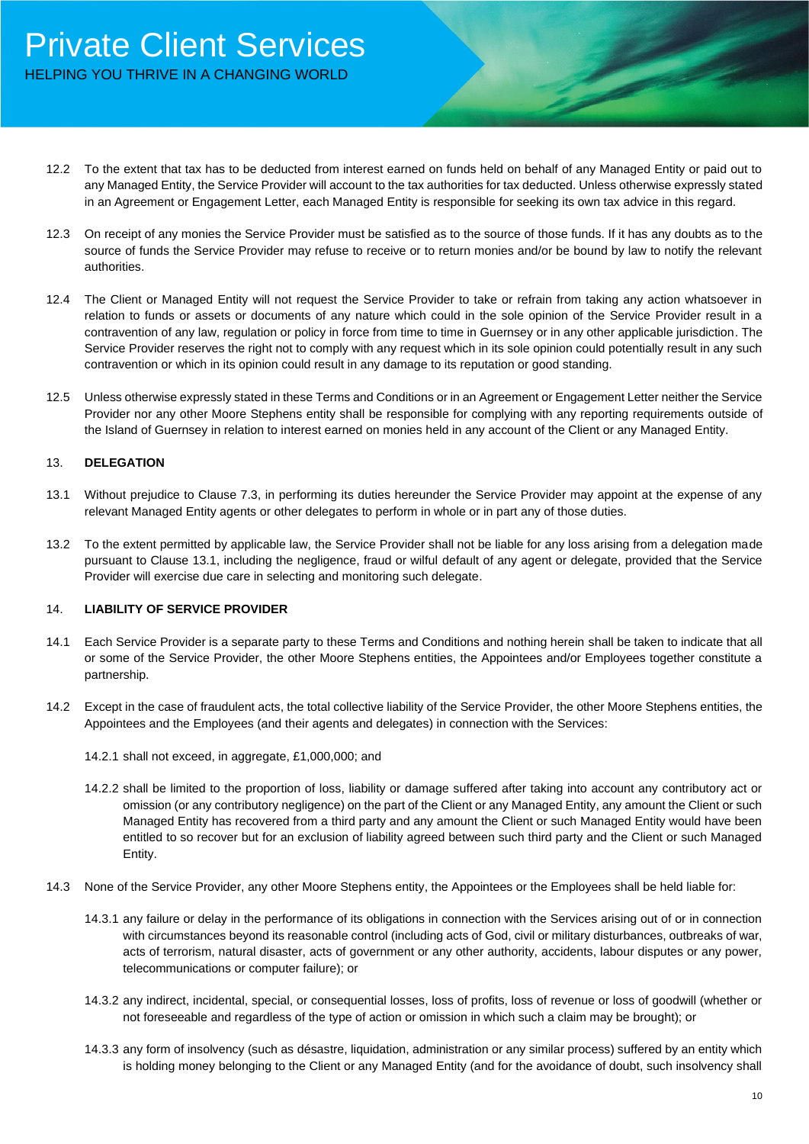- 12.2 To the extent that tax has to be deducted from interest earned on funds held on behalf of any Managed Entity or paid out to any Managed Entity, the Service Provider will account to the tax authorities for tax deducted. Unless otherwise expressly stated in an Agreement or Engagement Letter, each Managed Entity is responsible for seeking its own tax advice in this regard.
- 12.3 On receipt of any monies the Service Provider must be satisfied as to the source of those funds. If it has any doubts as to the source of funds the Service Provider may refuse to receive or to return monies and/or be bound by law to notify the relevant authorities.
- 12.4 The Client or Managed Entity will not request the Service Provider to take or refrain from taking any action whatsoever in relation to funds or assets or documents of any nature which could in the sole opinion of the Service Provider result in a contravention of any law, regulation or policy in force from time to time in Guernsey or in any other applicable jurisdiction. The Service Provider reserves the right not to comply with any request which in its sole opinion could potentially result in any such contravention or which in its opinion could result in any damage to its reputation or good standing.
- 12.5 Unless otherwise expressly stated in these Terms and Conditions or in an Agreement or Engagement Letter neither the Service Provider nor any other Moore Stephens entity shall be responsible for complying with any reporting requirements outside of the Island of Guernsey in relation to interest earned on monies held in any account of the Client or any Managed Entity.

## 13. **DELEGATION**

- 13.1 Without prejudice to Clause 7.3, in performing its duties hereunder the Service Provider may appoint at the expense of any relevant Managed Entity agents or other delegates to perform in whole or in part any of those duties.
- 13.2 To the extent permitted by applicable law, the Service Provider shall not be liable for any loss arising from a delegation made pursuant to Clause 13.1, including the negligence, fraud or wilful default of any agent or delegate, provided that the Service Provider will exercise due care in selecting and monitoring such delegate.

## 14. **LIABILITY OF SERVICE PROVIDER**

- 14.1 Each Service Provider is a separate party to these Terms and Conditions and nothing herein shall be taken to indicate that all or some of the Service Provider, the other Moore Stephens entities, the Appointees and/or Employees together constitute a partnership.
- 14.2 Except in the case of fraudulent acts, the total collective liability of the Service Provider, the other Moore Stephens entities, the Appointees and the Employees (and their agents and delegates) in connection with the Services:
	- 14.2.1 shall not exceed, in aggregate, £1,000,000; and
	- 14.2.2 shall be limited to the proportion of loss, liability or damage suffered after taking into account any contributory act or omission (or any contributory negligence) on the part of the Client or any Managed Entity, any amount the Client or such Managed Entity has recovered from a third party and any amount the Client or such Managed Entity would have been entitled to so recover but for an exclusion of liability agreed between such third party and the Client or such Managed Entity.
- 14.3 None of the Service Provider, any other Moore Stephens entity, the Appointees or the Employees shall be held liable for:
	- 14.3.1 any failure or delay in the performance of its obligations in connection with the Services arising out of or in connection with circumstances beyond its reasonable control (including acts of God, civil or military disturbances, outbreaks of war, acts of terrorism, natural disaster, acts of government or any other authority, accidents, labour disputes or any power, telecommunications or computer failure); or
	- 14.3.2 any indirect, incidental, special, or consequential losses, loss of profits, loss of revenue or loss of goodwill (whether or not foreseeable and regardless of the type of action or omission in which such a claim may be brought); or
	- 14.3.3 any form of insolvency (such as désastre, liquidation, administration or any similar process) suffered by an entity which is holding money belonging to the Client or any Managed Entity (and for the avoidance of doubt, such insolvency shall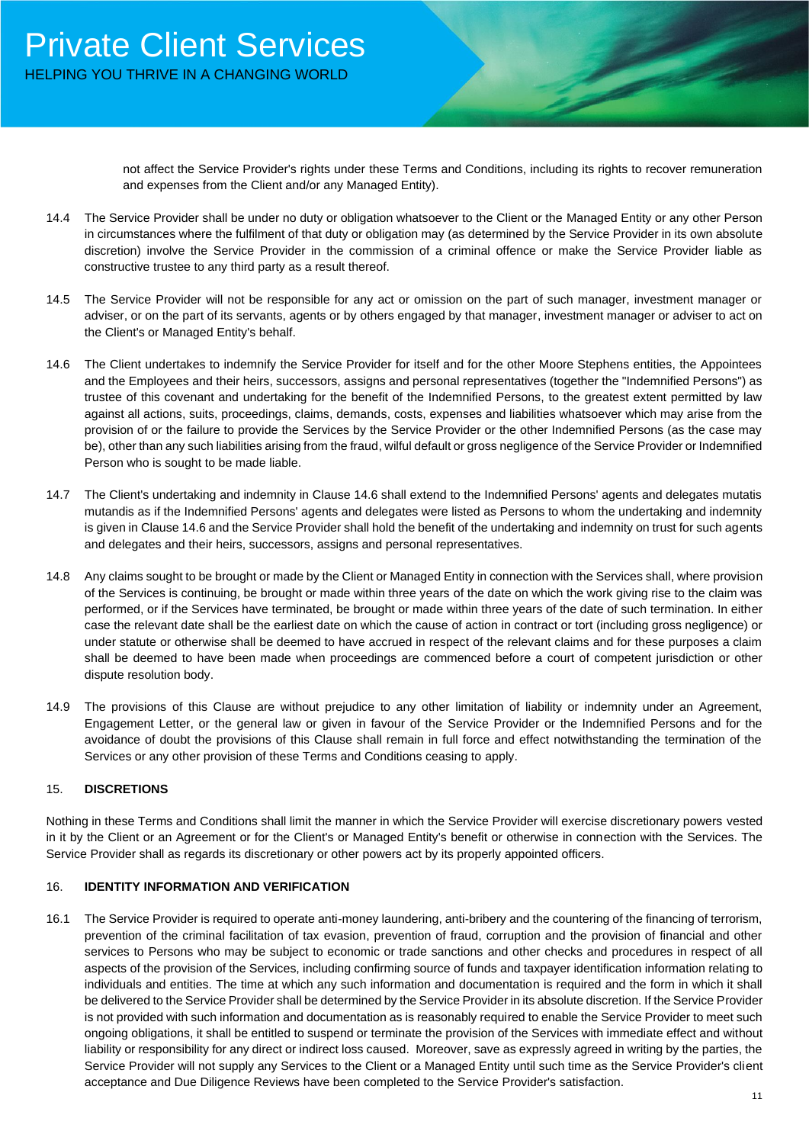not affect the Service Provider's rights under these Terms and Conditions, including its rights to recover remuneration and expenses from the Client and/or any Managed Entity).

- 14.4 The Service Provider shall be under no duty or obligation whatsoever to the Client or the Managed Entity or any other Person in circumstances where the fulfilment of that duty or obligation may (as determined by the Service Provider in its own absolute discretion) involve the Service Provider in the commission of a criminal offence or make the Service Provider liable as constructive trustee to any third party as a result thereof.
- 14.5 The Service Provider will not be responsible for any act or omission on the part of such manager, investment manager or adviser, or on the part of its servants, agents or by others engaged by that manager, investment manager or adviser to act on the Client's or Managed Entity's behalf.
- 14.6 The Client undertakes to indemnify the Service Provider for itself and for the other Moore Stephens entities, the Appointees and the Employees and their heirs, successors, assigns and personal representatives (together the "Indemnified Persons") as trustee of this covenant and undertaking for the benefit of the Indemnified Persons, to the greatest extent permitted by law against all actions, suits, proceedings, claims, demands, costs, expenses and liabilities whatsoever which may arise from the provision of or the failure to provide the Services by the Service Provider or the other Indemnified Persons (as the case may be), other than any such liabilities arising from the fraud, wilful default or gross negligence of the Service Provider or Indemnified Person who is sought to be made liable.
- 14.7 The Client's undertaking and indemnity in Clause 14.6 shall extend to the Indemnified Persons' agents and delegates mutatis mutandis as if the Indemnified Persons' agents and delegates were listed as Persons to whom the undertaking and indemnity is given in Clause 14.6 and the Service Provider shall hold the benefit of the undertaking and indemnity on trust for such agents and delegates and their heirs, successors, assigns and personal representatives.
- 14.8 Any claims sought to be brought or made by the Client or Managed Entity in connection with the Services shall, where provision of the Services is continuing, be brought or made within three years of the date on which the work giving rise to the claim was performed, or if the Services have terminated, be brought or made within three years of the date of such termination. In either case the relevant date shall be the earliest date on which the cause of action in contract or tort (including gross negligence) or under statute or otherwise shall be deemed to have accrued in respect of the relevant claims and for these purposes a claim shall be deemed to have been made when proceedings are commenced before a court of competent jurisdiction or other dispute resolution body.
- 14.9 The provisions of this Clause are without prejudice to any other limitation of liability or indemnity under an Agreement, Engagement Letter, or the general law or given in favour of the Service Provider or the Indemnified Persons and for the avoidance of doubt the provisions of this Clause shall remain in full force and effect notwithstanding the termination of the Services or any other provision of these Terms and Conditions ceasing to apply.

## 15. **DISCRETIONS**

Nothing in these Terms and Conditions shall limit the manner in which the Service Provider will exercise discretionary powers vested in it by the Client or an Agreement or for the Client's or Managed Entity's benefit or otherwise in connection with the Services. The Service Provider shall as regards its discretionary or other powers act by its properly appointed officers.

## 16. **IDENTITY INFORMATION AND VERIFICATION**

16.1 The Service Provider is required to operate anti-money laundering, anti-bribery and the countering of the financing of terrorism, prevention of the criminal facilitation of tax evasion, prevention of fraud, corruption and the provision of financial and other services to Persons who may be subject to economic or trade sanctions and other checks and procedures in respect of all aspects of the provision of the Services, including confirming source of funds and taxpayer identification information relating to individuals and entities. The time at which any such information and documentation is required and the form in which it shall be delivered to the Service Provider shall be determined by the Service Provider in its absolute discretion. If the Service Provider is not provided with such information and documentation as is reasonably required to enable the Service Provider to meet such ongoing obligations, it shall be entitled to suspend or terminate the provision of the Services with immediate effect and without liability or responsibility for any direct or indirect loss caused. Moreover, save as expressly agreed in writing by the parties, the Service Provider will not supply any Services to the Client or a Managed Entity until such time as the Service Provider's client acceptance and Due Diligence Reviews have been completed to the Service Provider's satisfaction.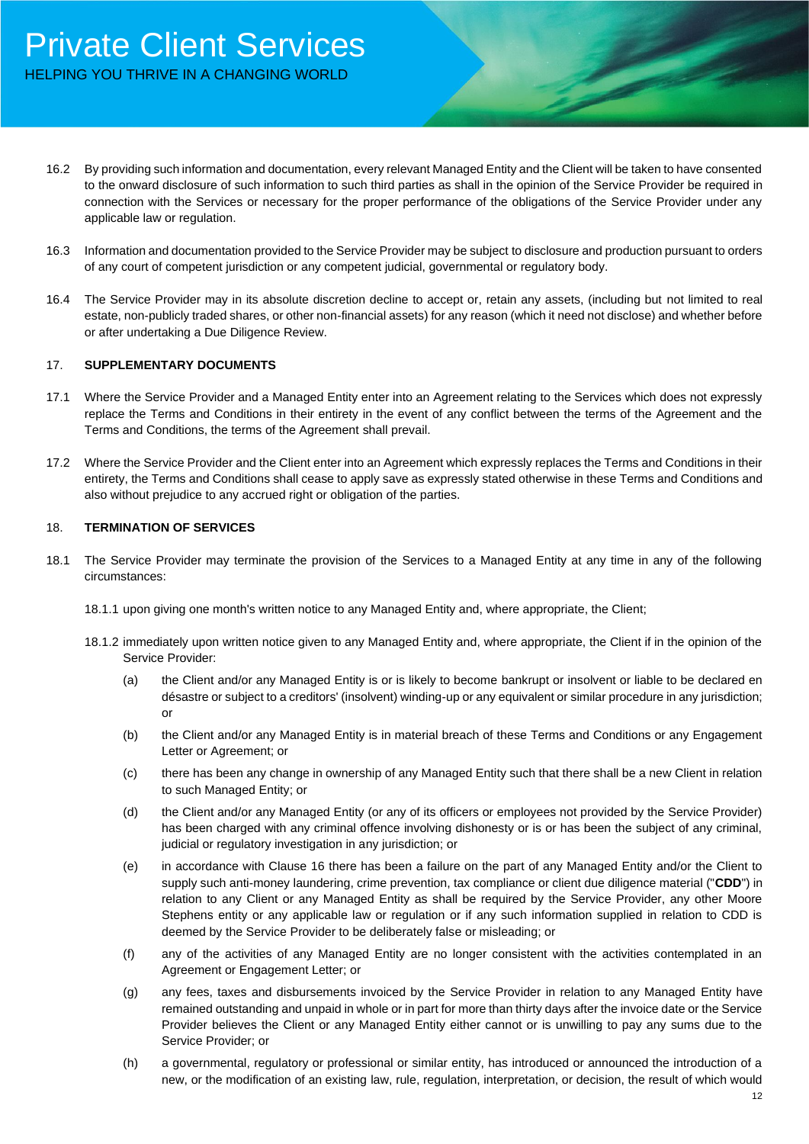- 16.2 By providing such information and documentation, every relevant Managed Entity and the Client will be taken to have consented to the onward disclosure of such information to such third parties as shall in the opinion of the Service Provider be required in connection with the Services or necessary for the proper performance of the obligations of the Service Provider under any applicable law or regulation.
- 16.3 Information and documentation provided to the Service Provider may be subject to disclosure and production pursuant to orders of any court of competent jurisdiction or any competent judicial, governmental or regulatory body.
- 16.4 The Service Provider may in its absolute discretion decline to accept or, retain any assets, (including but not limited to real estate, non-publicly traded shares, or other non-financial assets) for any reason (which it need not disclose) and whether before or after undertaking a Due Diligence Review.

## 17. **SUPPLEMENTARY DOCUMENTS**

- 17.1 Where the Service Provider and a Managed Entity enter into an Agreement relating to the Services which does not expressly replace the Terms and Conditions in their entirety in the event of any conflict between the terms of the Agreement and the Terms and Conditions, the terms of the Agreement shall prevail.
- 17.2 Where the Service Provider and the Client enter into an Agreement which expressly replaces the Terms and Conditions in their entirety, the Terms and Conditions shall cease to apply save as expressly stated otherwise in these Terms and Conditions and also without prejudice to any accrued right or obligation of the parties.

## 18. **TERMINATION OF SERVICES**

- 18.1 The Service Provider may terminate the provision of the Services to a Managed Entity at any time in any of the following circumstances:
	- 18.1.1 upon giving one month's written notice to any Managed Entity and, where appropriate, the Client;
	- 18.1.2 immediately upon written notice given to any Managed Entity and, where appropriate, the Client if in the opinion of the Service Provider:
		- (a) the Client and/or any Managed Entity is or is likely to become bankrupt or insolvent or liable to be declared en désastre or subject to a creditors' (insolvent) winding-up or any equivalent or similar procedure in any jurisdiction; or
		- (b) the Client and/or any Managed Entity is in material breach of these Terms and Conditions or any Engagement Letter or Agreement; or
		- (c) there has been any change in ownership of any Managed Entity such that there shall be a new Client in relation to such Managed Entity; or
		- (d) the Client and/or any Managed Entity (or any of its officers or employees not provided by the Service Provider) has been charged with any criminal offence involving dishonesty or is or has been the subject of any criminal, judicial or regulatory investigation in any jurisdiction; or
		- (e) in accordance with Clause 16 there has been a failure on the part of any Managed Entity and/or the Client to supply such anti-money laundering, crime prevention, tax compliance or client due diligence material ("**CDD**") in relation to any Client or any Managed Entity as shall be required by the Service Provider, any other Moore Stephens entity or any applicable law or regulation or if any such information supplied in relation to CDD is deemed by the Service Provider to be deliberately false or misleading; or
		- (f) any of the activities of any Managed Entity are no longer consistent with the activities contemplated in an Agreement or Engagement Letter; or
		- (g) any fees, taxes and disbursements invoiced by the Service Provider in relation to any Managed Entity have remained outstanding and unpaid in whole or in part for more than thirty days after the invoice date or the Service Provider believes the Client or any Managed Entity either cannot or is unwilling to pay any sums due to the Service Provider; or
		- (h) a governmental, regulatory or professional or similar entity, has introduced or announced the introduction of a new, or the modification of an existing law, rule, regulation, interpretation, or decision, the result of which would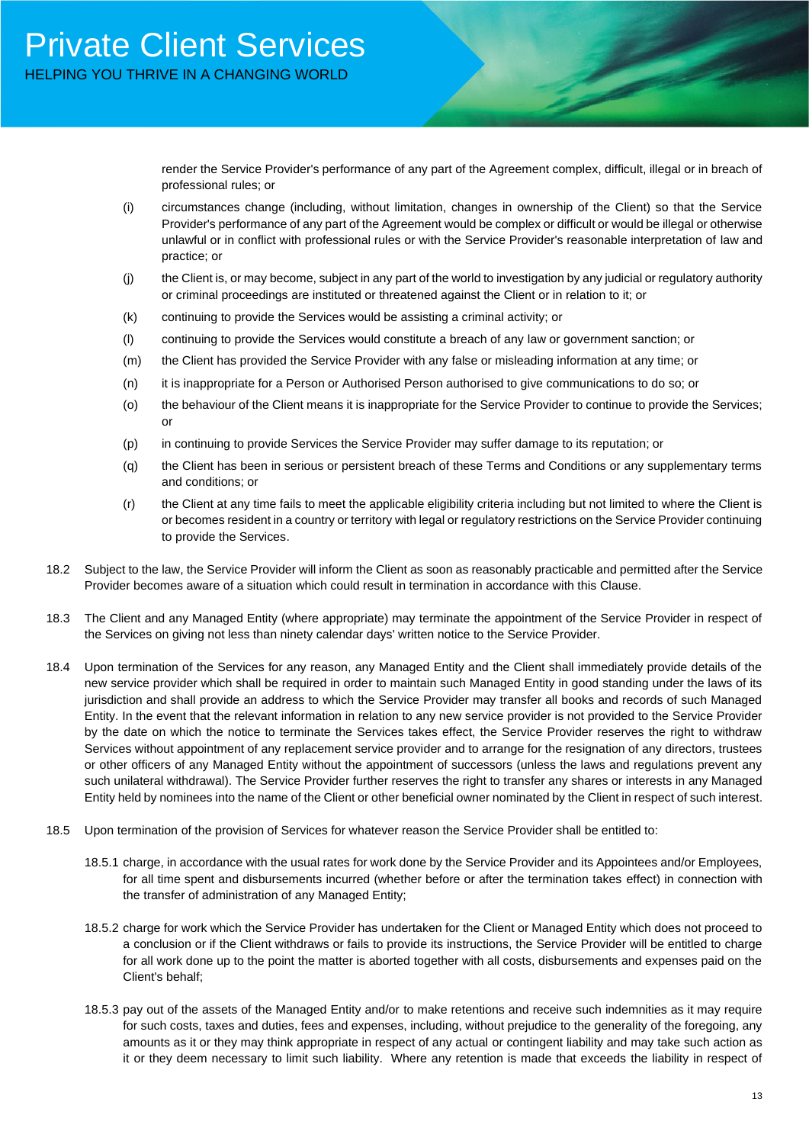render the Service Provider's performance of any part of the Agreement complex, difficult, illegal or in breach of professional rules; or

- (i) circumstances change (including, without limitation, changes in ownership of the Client) so that the Service Provider's performance of any part of the Agreement would be complex or difficult or would be illegal or otherwise unlawful or in conflict with professional rules or with the Service Provider's reasonable interpretation of law and practice; or
- (j) the Client is, or may become, subject in any part of the world to investigation by any judicial or regulatory authority or criminal proceedings are instituted or threatened against the Client or in relation to it; or
- (k) continuing to provide the Services would be assisting a criminal activity; or
- (l) continuing to provide the Services would constitute a breach of any law or government sanction; or
- (m) the Client has provided the Service Provider with any false or misleading information at any time; or
- (n) it is inappropriate for a Person or Authorised Person authorised to give communications to do so; or
- (o) the behaviour of the Client means it is inappropriate for the Service Provider to continue to provide the Services; or
- (p) in continuing to provide Services the Service Provider may suffer damage to its reputation; or
- (q) the Client has been in serious or persistent breach of these Terms and Conditions or any supplementary terms and conditions; or
- (r) the Client at any time fails to meet the applicable eligibility criteria including but not limited to where the Client is or becomes resident in a country or territory with legal or regulatory restrictions on the Service Provider continuing to provide the Services.
- 18.2 Subject to the law, the Service Provider will inform the Client as soon as reasonably practicable and permitted after the Service Provider becomes aware of a situation which could result in termination in accordance with this Clause.
- 18.3 The Client and any Managed Entity (where appropriate) may terminate the appointment of the Service Provider in respect of the Services on giving not less than ninety calendar days' written notice to the Service Provider.
- 18.4 Upon termination of the Services for any reason, any Managed Entity and the Client shall immediately provide details of the new service provider which shall be required in order to maintain such Managed Entity in good standing under the laws of its jurisdiction and shall provide an address to which the Service Provider may transfer all books and records of such Managed Entity. In the event that the relevant information in relation to any new service provider is not provided to the Service Provider by the date on which the notice to terminate the Services takes effect, the Service Provider reserves the right to withdraw Services without appointment of any replacement service provider and to arrange for the resignation of any directors, trustees or other officers of any Managed Entity without the appointment of successors (unless the laws and regulations prevent any such unilateral withdrawal). The Service Provider further reserves the right to transfer any shares or interests in any Managed Entity held by nominees into the name of the Client or other beneficial owner nominated by the Client in respect of such interest.
- 18.5 Upon termination of the provision of Services for whatever reason the Service Provider shall be entitled to:
	- 18.5.1 charge, in accordance with the usual rates for work done by the Service Provider and its Appointees and/or Employees, for all time spent and disbursements incurred (whether before or after the termination takes effect) in connection with the transfer of administration of any Managed Entity;
	- 18.5.2 charge for work which the Service Provider has undertaken for the Client or Managed Entity which does not proceed to a conclusion or if the Client withdraws or fails to provide its instructions, the Service Provider will be entitled to charge for all work done up to the point the matter is aborted together with all costs, disbursements and expenses paid on the Client's behalf;
	- 18.5.3 pay out of the assets of the Managed Entity and/or to make retentions and receive such indemnities as it may require for such costs, taxes and duties, fees and expenses, including, without prejudice to the generality of the foregoing, any amounts as it or they may think appropriate in respect of any actual or contingent liability and may take such action as it or they deem necessary to limit such liability. Where any retention is made that exceeds the liability in respect of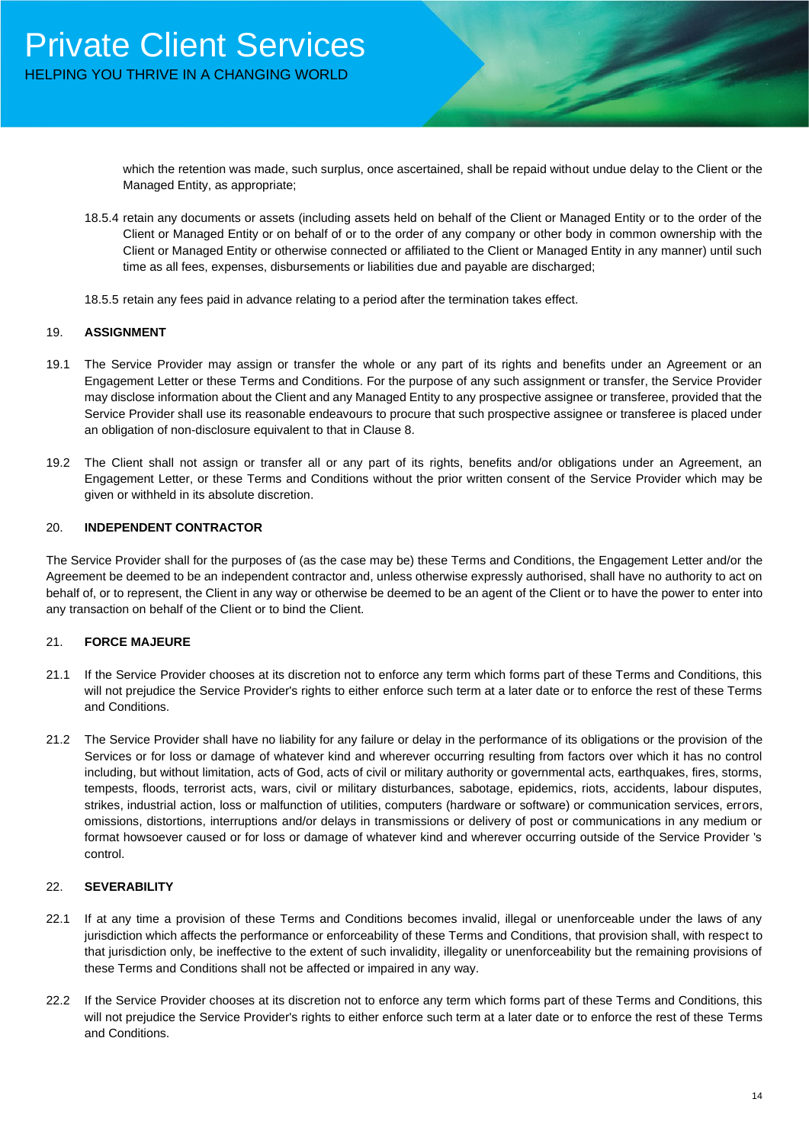which the retention was made, such surplus, once ascertained, shall be repaid without undue delay to the Client or the Managed Entity, as appropriate;

- 18.5.4 retain any documents or assets (including assets held on behalf of the Client or Managed Entity or to the order of the Client or Managed Entity or on behalf of or to the order of any company or other body in common ownership with the Client or Managed Entity or otherwise connected or affiliated to the Client or Managed Entity in any manner) until such time as all fees, expenses, disbursements or liabilities due and payable are discharged;
- 18.5.5 retain any fees paid in advance relating to a period after the termination takes effect.

#### 19. **ASSIGNMENT**

- 19.1 The Service Provider may assign or transfer the whole or any part of its rights and benefits under an Agreement or an Engagement Letter or these Terms and Conditions. For the purpose of any such assignment or transfer, the Service Provider may disclose information about the Client and any Managed Entity to any prospective assignee or transferee, provided that the Service Provider shall use its reasonable endeavours to procure that such prospective assignee or transferee is placed under an obligation of non-disclosure equivalent to that in Clause 8.
- 19.2 The Client shall not assign or transfer all or any part of its rights, benefits and/or obligations under an Agreement, an Engagement Letter, or these Terms and Conditions without the prior written consent of the Service Provider which may be given or withheld in its absolute discretion.

#### 20. **INDEPENDENT CONTRACTOR**

The Service Provider shall for the purposes of (as the case may be) these Terms and Conditions, the Engagement Letter and/or the Agreement be deemed to be an independent contractor and, unless otherwise expressly authorised, shall have no authority to act on behalf of, or to represent, the Client in any way or otherwise be deemed to be an agent of the Client or to have the power to enter into any transaction on behalf of the Client or to bind the Client.

## 21. **FORCE MAJEURE**

- 21.1 If the Service Provider chooses at its discretion not to enforce any term which forms part of these Terms and Conditions, this will not prejudice the Service Provider's rights to either enforce such term at a later date or to enforce the rest of these Terms and Conditions.
- 21.2 The Service Provider shall have no liability for any failure or delay in the performance of its obligations or the provision of the Services or for loss or damage of whatever kind and wherever occurring resulting from factors over which it has no control including, but without limitation, acts of God, acts of civil or military authority or governmental acts, earthquakes, fires, storms, tempests, floods, terrorist acts, wars, civil or military disturbances, sabotage, epidemics, riots, accidents, labour disputes, strikes, industrial action, loss or malfunction of utilities, computers (hardware or software) or communication services, errors, omissions, distortions, interruptions and/or delays in transmissions or delivery of post or communications in any medium or format howsoever caused or for loss or damage of whatever kind and wherever occurring outside of the Service Provider 's control.

## 22. **SEVERABILITY**

- 22.1 If at any time a provision of these Terms and Conditions becomes invalid, illegal or unenforceable under the laws of any jurisdiction which affects the performance or enforceability of these Terms and Conditions, that provision shall, with respect to that jurisdiction only, be ineffective to the extent of such invalidity, illegality or unenforceability but the remaining provisions of these Terms and Conditions shall not be affected or impaired in any way.
- 22.2 If the Service Provider chooses at its discretion not to enforce any term which forms part of these Terms and Conditions, this will not prejudice the Service Provider's rights to either enforce such term at a later date or to enforce the rest of these Terms and Conditions.